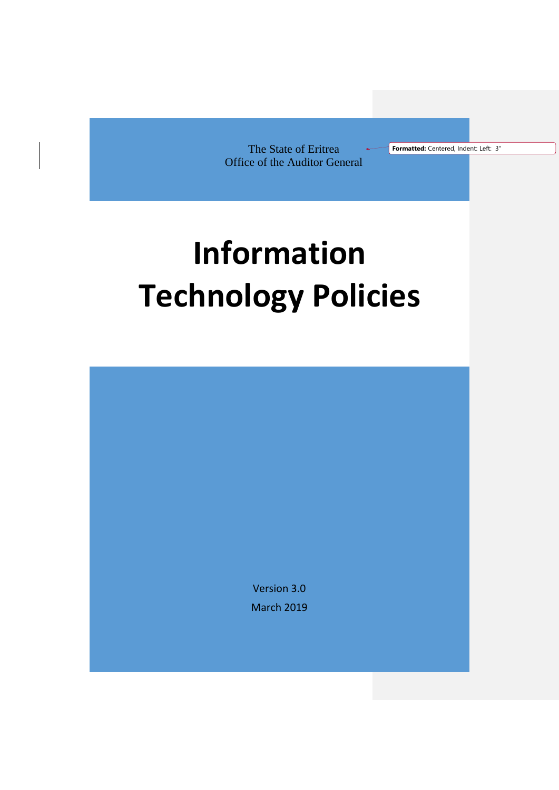The State of Eritrea Office of the Auditor General **Formatted:** Centered, Indent: Left: 3"

# **Information Technology Policies**

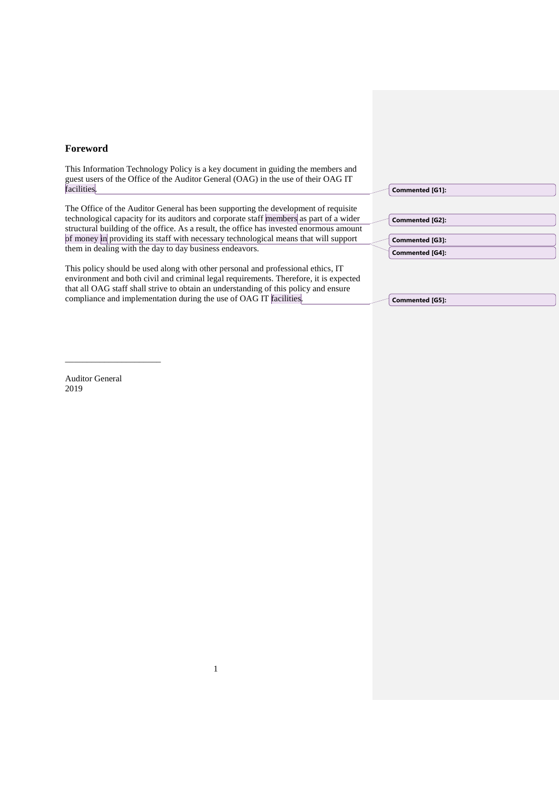# **Foreword**

This Information Technology Policy is a key document in guiding the members and guest users of the Office of the Auditor General (OAG) in the use of their OAG IT facilities.

The Office of the Auditor General has been supporting the development of requisite technological capacity for its auditors and corporate staff members as part of a wider structural building of the office. As a result, the office has invested enormous amount of money in providing its staff with necessary technological means that will support them in dealing with the day to day business endeavors.

This policy should be used along with other personal and professional ethics, IT environment and both civil and criminal legal requirements. Therefore, it is expected that all OAG staff shall strive to obtain an understanding of this policy and ensure compliance and implementation during the use of OAG IT facilities.

1

**Commented [G1]:** 

| Commented [G2]:        |
|------------------------|
|                        |
| Commented [G3]:        |
| <b>Commented [G4]:</b> |

**Commented [G5]:** 

Auditor General 2019

\_\_\_\_\_\_\_\_\_\_\_\_\_\_\_\_\_\_\_\_\_\_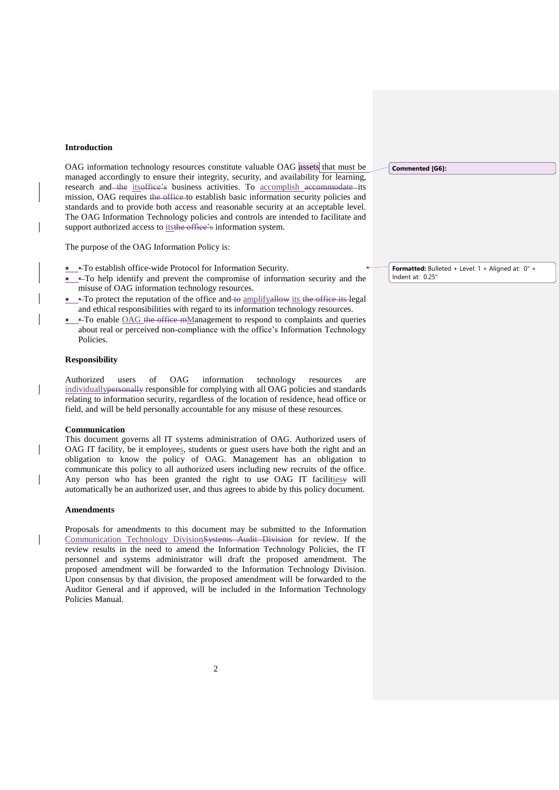## **Introduction**

OAG information technology resources constitute valuable OAG assets that must be managed accordingly to ensure their integrity, security, and availability for learning, research and the itsoffice's business activities. To accomplish accommodate its mission, OAG requires the office to establish basic information security policies and standards and to provide both access and reasonable security at an acceptable level. The OAG Information Technology policies and controls are intended to facilitate and support authorized access to its the office's information system.

The purpose of the OAG Information Policy is:

- To establish office-wide Protocol for Information Security.
- $\sim$  To help identify and prevent the compromise of information security and the misuse of OAG information technology resources.
- $\blacktriangle$ To protect the reputation of the office and to amplifyallow its the office its legal and ethical responsibilities with regard to its information technology resources.
- $\leftarrow$  To enable OAG the office mManagement to respond to complaints and queries about real or perceived non-compliance with the office's Information Technology Policies.

#### **Responsibility**

Authorized users of OAG information technology resources are individuallypersonally responsible for complying with all OAG policies and standards relating to information security, regardless of the location of residence, head office or field, and will be held personally accountable for any misuse of these resources.

#### **Communication**

This document governs all IT systems administration of OAG. Authorized users of OAG IT facility, be it employees, students or guest users have both the right and an obligation to know the policy of OAG. Management has an obligation to communicate this policy to all authorized users including new recruits of the office. Any person who has been granted the right to use OAG IT facilities will automatically be an authorized user, and thus agrees to abide by this policy document.

#### **Amendments**

Proposals for amendments to this document may be submitted to the Information Communication Technology DivisionSystems Audit Division for review. If the review results in the need to amend the Information Technology Policies, the IT personnel and systems administrator will draft the proposed amendment. The proposed amendment will be forwarded to the Information Technology Division. Upon consensus by that division, the proposed amendment will be forwarded to the Auditor General and if approved, will be included in the Information Technology Policies Manual.

**Commented [G6]:** 

**Formatted:** Bulleted + Level: 1 + Aligned at: 0" + Indent at: 0.25"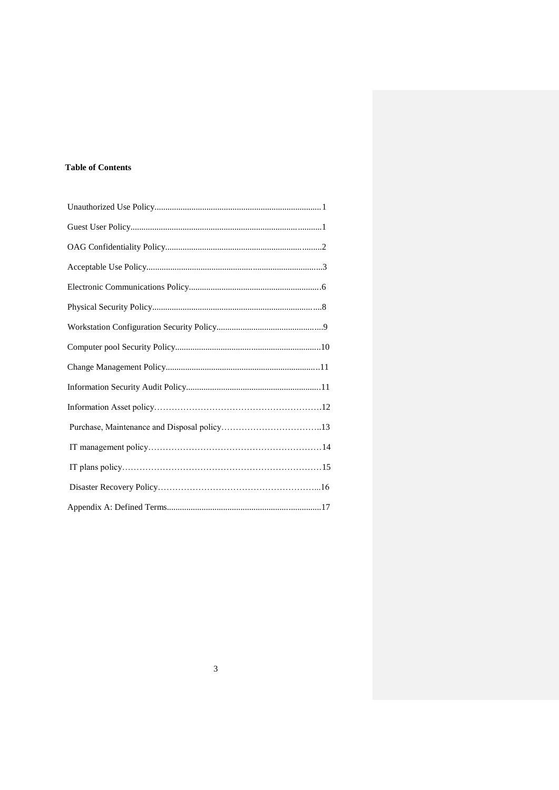# **Table of Contents**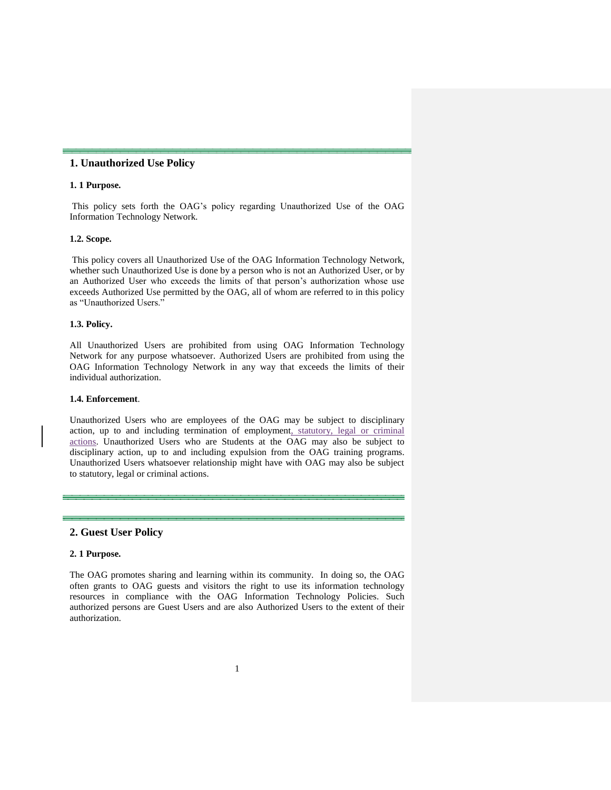# **1. Unauthorized Use Policy**

## **1. 1 Purpose.**

This policy sets forth the OAG's policy regarding Unauthorized Use of the OAG Information Technology Network.

#### **1.2. Scope.**

This policy covers all Unauthorized Use of the OAG Information Technology Network, whether such Unauthorized Use is done by a person who is not an Authorized User, or by an Authorized User who exceeds the limits of that person's authorization whose use exceeds Authorized Use permitted by the OAG, all of whom are referred to in this policy as "Unauthorized Users."

# **1.3. Policy.**

All Unauthorized Users are prohibited from using OAG Information Technology Network for any purpose whatsoever. Authorized Users are prohibited from using the OAG Information Technology Network in any way that exceeds the limits of their individual authorization.

## **1.4. Enforcement**.

Unauthorized Users who are employees of the OAG may be subject to disciplinary action, up to and including termination of employment, statutory, legal or criminal actions. Unauthorized Users who are Students at the OAG may also be subject to disciplinary action, up to and including expulsion from the OAG training programs. Unauthorized Users whatsoever relationship might have with OAG may also be subject to statutory, legal or criminal actions.

# **2. Guest User Policy**

# **2. 1 Purpose.**

The OAG promotes sharing and learning within its community. In doing so, the OAG often grants to OAG guests and visitors the right to use its information technology resources in compliance with the OAG Information Technology Policies. Such authorized persons are Guest Users and are also Authorized Users to the extent of their authorization.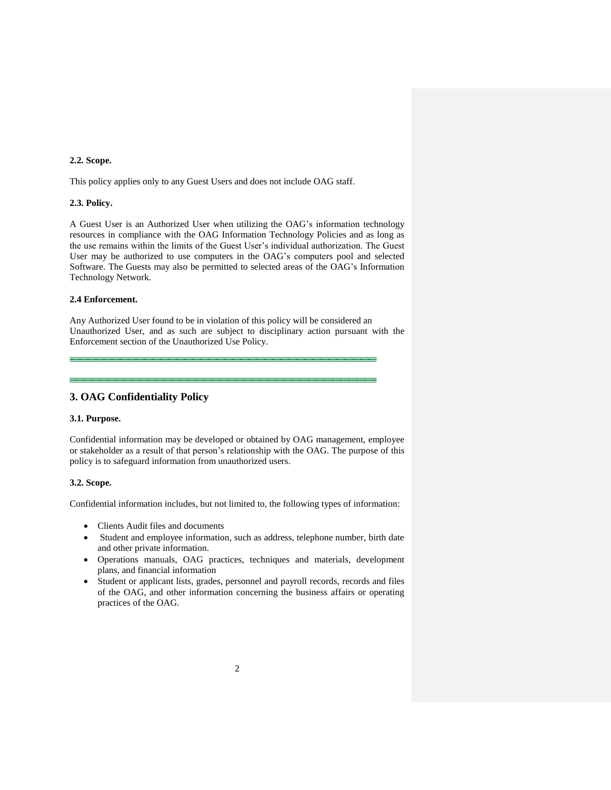## **2.2. Scope.**

This policy applies only to any Guest Users and does not include OAG staff.

# **2.3. Policy.**

A Guest User is an Authorized User when utilizing the OAG's information technology resources in compliance with the OAG Information Technology Policies and as long as the use remains within the limits of the Guest User's individual authorization. The Guest User may be authorized to use computers in the OAG's computers pool and selected Software. The Guests may also be permitted to selected areas of the OAG's Information Technology Network.

#### **2.4 Enforcement.**

Any Authorized User found to be in violation of this policy will be considered an Unauthorized User, and as such are subject to disciplinary action pursuant with the Enforcement section of the Unauthorized Use Policy.

# **3. OAG Confidentiality Policy**

#### **3.1. Purpose.**

Confidential information may be developed or obtained by OAG management, employee or stakeholder as a result of that person's relationship with the OAG. The purpose of this policy is to safeguard information from unauthorized users.

# **3.2. Scope.**

Confidential information includes, but not limited to, the following types of information:

- Clients Audit files and documents
- Student and employee information, such as address, telephone number, birth date and other private information.
- Operations manuals, OAG practices, techniques and materials, development plans, and financial information
- Student or applicant lists, grades, personnel and payroll records, records and files of the OAG, and other information concerning the business affairs or operating practices of the OAG.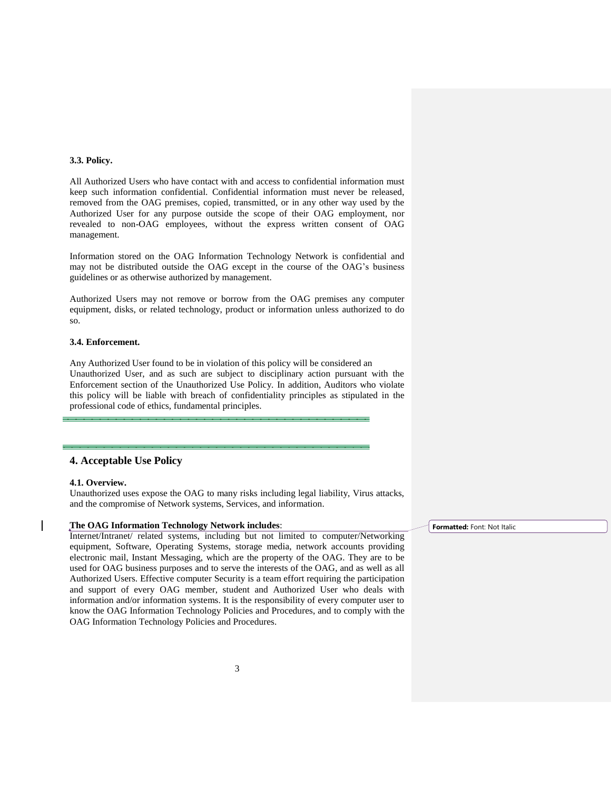#### **3.3. Policy.**

All Authorized Users who have contact with and access to confidential information must keep such information confidential. Confidential information must never be released, removed from the OAG premises, copied, transmitted, or in any other way used by the Authorized User for any purpose outside the scope of their OAG employment, nor revealed to non-OAG employees, without the express written consent of OAG management.

Information stored on the OAG Information Technology Network is confidential and may not be distributed outside the OAG except in the course of the OAG's business guidelines or as otherwise authorized by management.

Authorized Users may not remove or borrow from the OAG premises any computer equipment, disks, or related technology, product or information unless authorized to do so.

## **3.4. Enforcement.**

Any Authorized User found to be in violation of this policy will be considered an Unauthorized User, and as such are subject to disciplinary action pursuant with the Enforcement section of the Unauthorized Use Policy. In addition, Auditors who violate this policy will be liable with breach of confidentiality principles as stipulated in the professional code of ethics, fundamental principles.

# **4. Acceptable Use Policy**

# **4.1. Overview.**

Unauthorized uses expose the OAG to many risks including legal liability, Virus attacks, and the compromise of Network systems, Services, and information.

# **The OAG Information Technology Network includes**:

Internet/Intranet/ related systems, including but not limited to computer/Networking equipment, Software, Operating Systems, storage media, network accounts providing electronic mail, Instant Messaging, which are the property of the OAG. They are to be used for OAG business purposes and to serve the interests of the OAG, and as well as all Authorized Users. Effective computer Security is a team effort requiring the participation and support of every OAG member, student and Authorized User who deals with information and/or information systems. It is the responsibility of every computer user to know the OAG Information Technology Policies and Procedures, and to comply with the OAG Information Technology Policies and Procedures.

**Formatted:** Font: Not Italic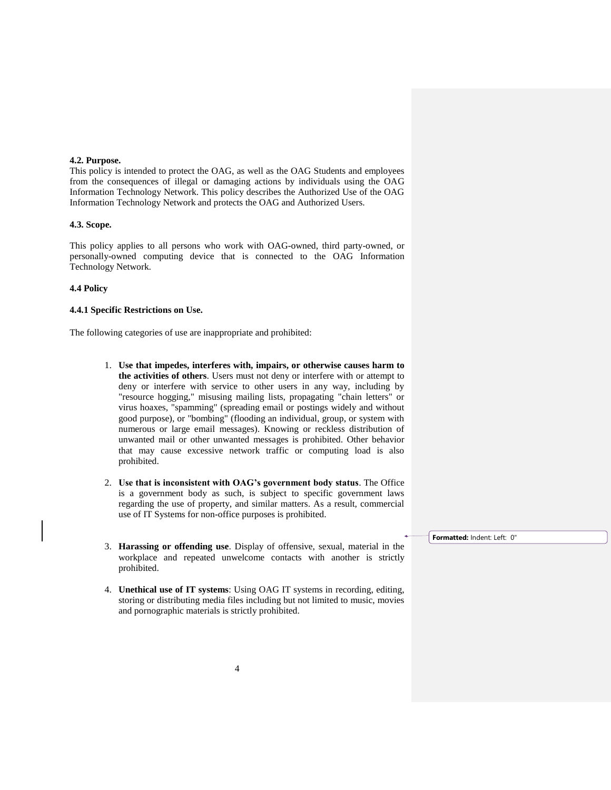#### **4.2. Purpose.**

This policy is intended to protect the OAG, as well as the OAG Students and employees from the consequences of illegal or damaging actions by individuals using the OAG Information Technology Network. This policy describes the Authorized Use of the OAG Information Technology Network and protects the OAG and Authorized Users.

#### **4.3. Scope.**

This policy applies to all persons who work with OAG-owned, third party-owned, or personally-owned computing device that is connected to the OAG Information Technology Network.

# **4.4 Policy**

#### **4.4.1 Specific Restrictions on Use.**

The following categories of use are inappropriate and prohibited:

- 1. **Use that impedes, interferes with, impairs, or otherwise causes harm to the activities of others**. Users must not deny or interfere with or attempt to deny or interfere with service to other users in any way, including by "resource hogging," misusing mailing lists, propagating "chain letters" or virus hoaxes, "spamming" (spreading email or postings widely and without good purpose), or "bombing" (flooding an individual, group, or system with numerous or large email messages). Knowing or reckless distribution of unwanted mail or other unwanted messages is prohibited. Other behavior that may cause excessive network traffic or computing load is also prohibited.
- 2. **Use that is inconsistent with OAG's government body status**. The Office is a government body as such, is subject to specific government laws regarding the use of property, and similar matters. As a result, commercial use of IT Systems for non-office purposes is prohibited.
- 3. **Harassing or offending use**. Display of offensive, sexual, material in the workplace and repeated unwelcome contacts with another is strictly prohibited.
- 4. **Unethical use of IT systems**: Using OAG IT systems in recording, editing, storing or distributing media files including but not limited to music, movies and pornographic materials is strictly prohibited.

**Formatted:** Indent: Left: 0"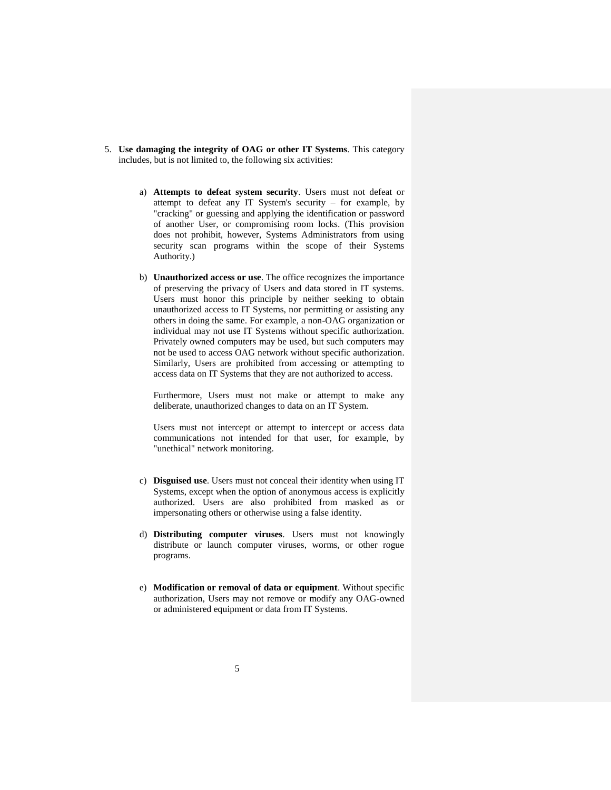- 5. **Use damaging the integrity of OAG or other IT Systems**. This category includes, but is not limited to, the following six activities:
	- a) **Attempts to defeat system security**. Users must not defeat or attempt to defeat any IT System's security – for example, by "cracking" or guessing and applying the identification or password of another User, or compromising room locks. (This provision does not prohibit, however, Systems Administrators from using security scan programs within the scope of their Systems Authority.)
	- b) **Unauthorized access or use**. The office recognizes the importance of preserving the privacy of Users and data stored in IT systems. Users must honor this principle by neither seeking to obtain unauthorized access to IT Systems, nor permitting or assisting any others in doing the same. For example, a non-OAG organization or individual may not use IT Systems without specific authorization. Privately owned computers may be used, but such computers may not be used to access OAG network without specific authorization. Similarly, Users are prohibited from accessing or attempting to access data on IT Systems that they are not authorized to access.

Furthermore, Users must not make or attempt to make any deliberate, unauthorized changes to data on an IT System.

Users must not intercept or attempt to intercept or access data communications not intended for that user, for example, by "unethical" network monitoring.

- c) **Disguised use**. Users must not conceal their identity when using IT Systems, except when the option of anonymous access is explicitly authorized. Users are also prohibited from masked as or impersonating others or otherwise using a false identity.
- d) **Distributing computer viruses**. Users must not knowingly distribute or launch computer viruses, worms, or other rogue programs.
- e) **Modification or removal of data or equipment**. Without specific authorization, Users may not remove or modify any OAG-owned or administered equipment or data from IT Systems.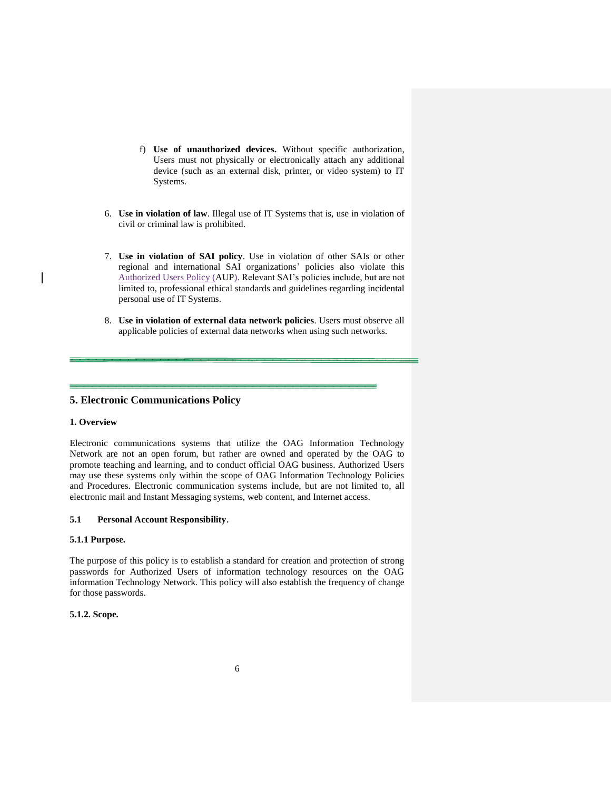- f) **Use of unauthorized devices.** Without specific authorization, Users must not physically or electronically attach any additional device (such as an external disk, printer, or video system) to IT Systems.
- 6. **Use in violation of law**. Illegal use of IT Systems that is, use in violation of civil or criminal law is prohibited.
- 7. **Use in violation of SAI policy**. Use in violation of other SAIs or other regional and international SAI organizations' policies also violate this Authorized Users Policy (AUP). Relevant SAI's policies include, but are not limited to, professional ethical standards and guidelines regarding incidental personal use of IT Systems.
- 8. **Use in violation of external data network policies**. Users must observe all applicable policies of external data networks when using such networks.

# **5. Electronic Communications Policy**

## **1. Overview**

Electronic communications systems that utilize the OAG Information Technology Network are not an open forum, but rather are owned and operated by the OAG to promote teaching and learning, and to conduct official OAG business. Authorized Users may use these systems only within the scope of OAG Information Technology Policies and Procedures. Electronic communication systems include, but are not limited to, all electronic mail and Instant Messaging systems, web content, and Internet access.

## **5.1 Personal Account Responsibility**.

# **5.1.1 Purpose.**

The purpose of this policy is to establish a standard for creation and protection of strong passwords for Authorized Users of information technology resources on the OAG information Technology Network. This policy will also establish the frequency of change for those passwords.

# **5.1.2. Scope.**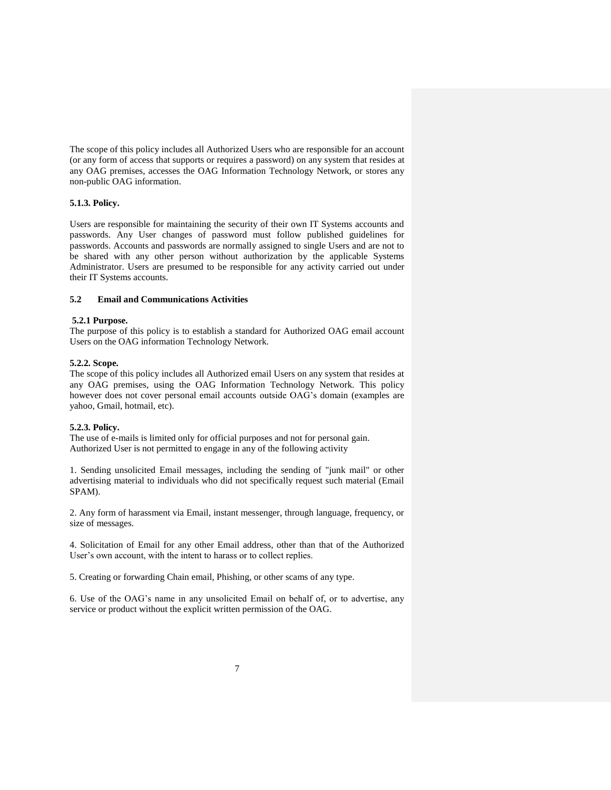The scope of this policy includes all Authorized Users who are responsible for an account (or any form of access that supports or requires a password) on any system that resides at any OAG premises, accesses the OAG Information Technology Network, or stores any non-public OAG information.

# **5.1.3. Policy.**

Users are responsible for maintaining the security of their own IT Systems accounts and passwords. Any User changes of password must follow published guidelines for passwords. Accounts and passwords are normally assigned to single Users and are not to be shared with any other person without authorization by the applicable Systems Administrator. Users are presumed to be responsible for any activity carried out under their IT Systems accounts.

## **5.2 Email and Communications Activities**

#### **5.2.1 Purpose.**

The purpose of this policy is to establish a standard for Authorized OAG email account Users on the OAG information Technology Network.

#### **5.2.2. Scope.**

The scope of this policy includes all Authorized email Users on any system that resides at any OAG premises, using the OAG Information Technology Network. This policy however does not cover personal email accounts outside OAG's domain (examples are yahoo, Gmail, hotmail, etc).

# **5.2.3. Policy.**

The use of e-mails is limited only for official purposes and not for personal gain. Authorized User is not permitted to engage in any of the following activity

1. Sending unsolicited Email messages, including the sending of "junk mail" or other advertising material to individuals who did not specifically request such material (Email SPAM).

2. Any form of harassment via Email, instant messenger, through language, frequency, or size of messages.

4. Solicitation of Email for any other Email address, other than that of the Authorized User's own account, with the intent to harass or to collect replies.

5. Creating or forwarding Chain email, Phishing, or other scams of any type.

6. Use of the OAG's name in any unsolicited Email on behalf of, or to advertise, any service or product without the explicit written permission of the OAG.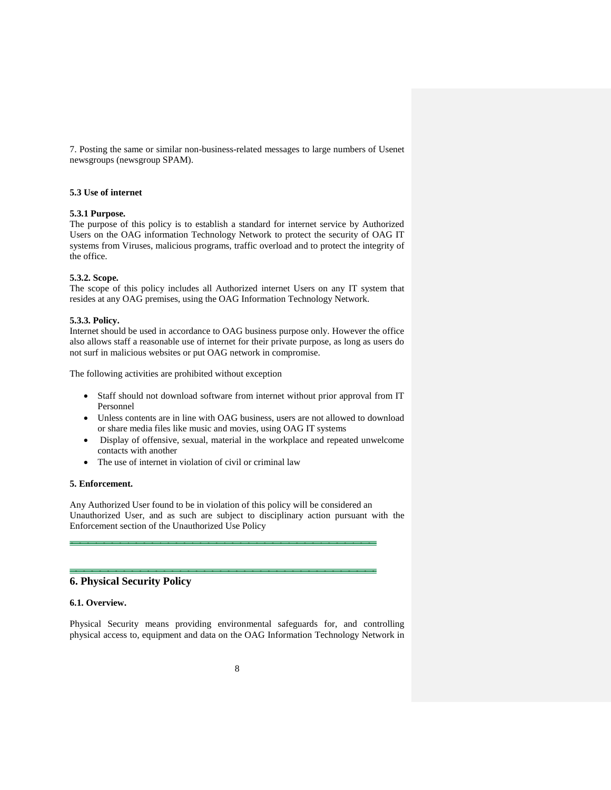7. Posting the same or similar non-business-related messages to large numbers of Usenet newsgroups (newsgroup SPAM).

# **5.3 Use of internet**

## **5.3.1 Purpose.**

The purpose of this policy is to establish a standard for internet service by Authorized Users on the OAG information Technology Network to protect the security of OAG IT systems from Viruses, malicious programs, traffic overload and to protect the integrity of the office.

#### **5.3.2. Scope.**

The scope of this policy includes all Authorized internet Users on any IT system that resides at any OAG premises, using the OAG Information Technology Network.

#### **5.3.3. Policy.**

Internet should be used in accordance to OAG business purpose only. However the office also allows staff a reasonable use of internet for their private purpose, as long as users do not surf in malicious websites or put OAG network in compromise.

The following activities are prohibited without exception

- Staff should not download software from internet without prior approval from IT Personnel
- Unless contents are in line with OAG business, users are not allowed to download or share media files like music and movies, using OAG IT systems
- Display of offensive, sexual, material in the workplace and repeated unwelcome contacts with another
- The use of internet in violation of civil or criminal law

# **5. Enforcement.**

Any Authorized User found to be in violation of this policy will be considered an Unauthorized User, and as such are subject to disciplinary action pursuant with the Enforcement section of the Unauthorized Use Policy

# **6. Physical Security Policy**

#### **6.1. Overview.**

Physical Security means providing environmental safeguards for, and controlling physical access to, equipment and data on the OAG Information Technology Network in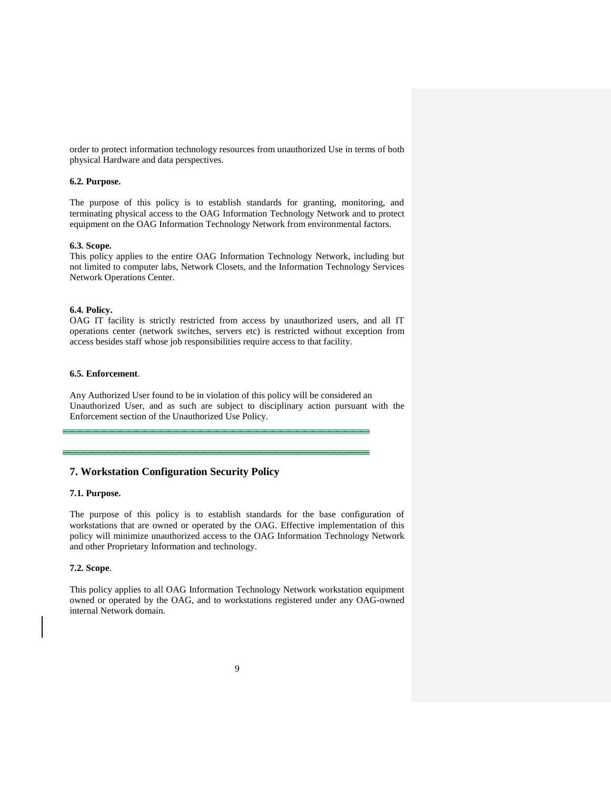order to protect information technology resources from unauthorized Use in terms of both physical Hardware and data perspectives.

# **6.2. Purpose.**

The purpose of this policy is to establish standards for granting, monitoring, and terminating physical access to the OAG Information Technology Network and to protect equipment on the OAG Information Technology Network from environmental factors.

# **6.3. Scope.**

This policy applies to the entire OAG Information Technology Network, including but not limited to computer labs, Network Closets, and the Information Technology Services Network Operations Center.

### **6.4. Policy.**

OAG IT facility is strictly restricted from access by unauthorized users, and all IT operations center (network switches, servers etc) is restricted without exception from access besides staff whose job responsibilities require access to that facility.

## **6.5. Enforcement**.

Any Authorized User found to be in violation of this policy will be considered an Unauthorized User, and as such are subject to disciplinary action pursuant with the Enforcement section of the Unauthorized Use Policy.

# **7. Workstation Configuration Security Policy**

# **7.1. Purpose.**

The purpose of this policy is to establish standards for the base configuration of workstations that are owned or operated by the OAG. Effective implementation of this policy will minimize unauthorized access to the OAG Information Technology Network and other Proprietary Information and technology.

# **7.2. Scope**.

This policy applies to all OAG Information Technology Network workstation equipment owned or operated by the OAG, and to workstations registered under any OAG-owned internal Network domain.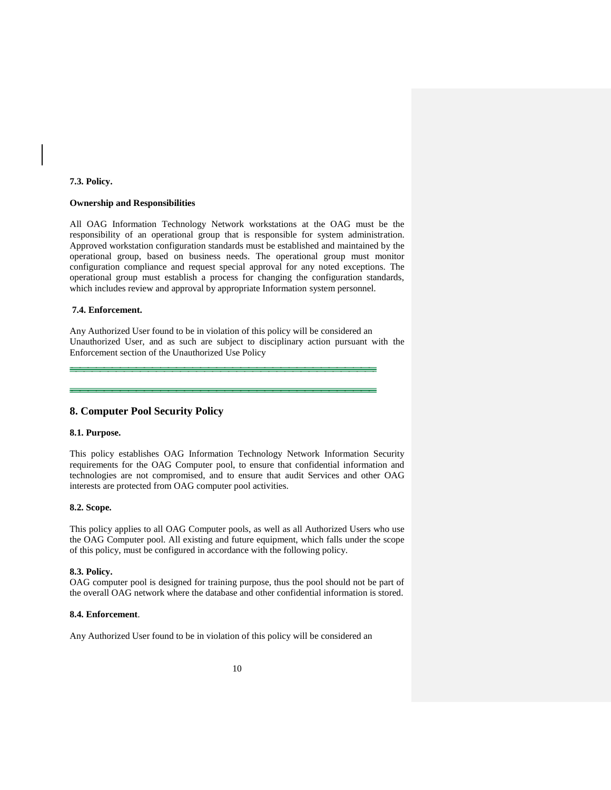# **7.3. Policy.**

# **Ownership and Responsibilities**

All OAG Information Technology Network workstations at the OAG must be the responsibility of an operational group that is responsible for system administration. Approved workstation configuration standards must be established and maintained by the operational group, based on business needs. The operational group must monitor configuration compliance and request special approval for any noted exceptions. The operational group must establish a process for changing the configuration standards, which includes review and approval by appropriate Information system personnel.

### **7.4. Enforcement.**

Any Authorized User found to be in violation of this policy will be considered an Unauthorized User, and as such are subject to disciplinary action pursuant with the Enforcement section of the Unauthorized Use Policy

# **8. Computer Pool Security Policy**

### **8.1. Purpose.**

This policy establishes OAG Information Technology Network Information Security requirements for the OAG Computer pool, to ensure that confidential information and technologies are not compromised, and to ensure that audit Services and other OAG interests are protected from OAG computer pool activities.

#### **8.2. Scope.**

This policy applies to all OAG Computer pools, as well as all Authorized Users who use the OAG Computer pool. All existing and future equipment, which falls under the scope of this policy, must be configured in accordance with the following policy.

# **8.3. Policy.**

OAG computer pool is designed for training purpose, thus the pool should not be part of the overall OAG network where the database and other confidential information is stored.

# **8.4. Enforcement**.

Any Authorized User found to be in violation of this policy will be considered an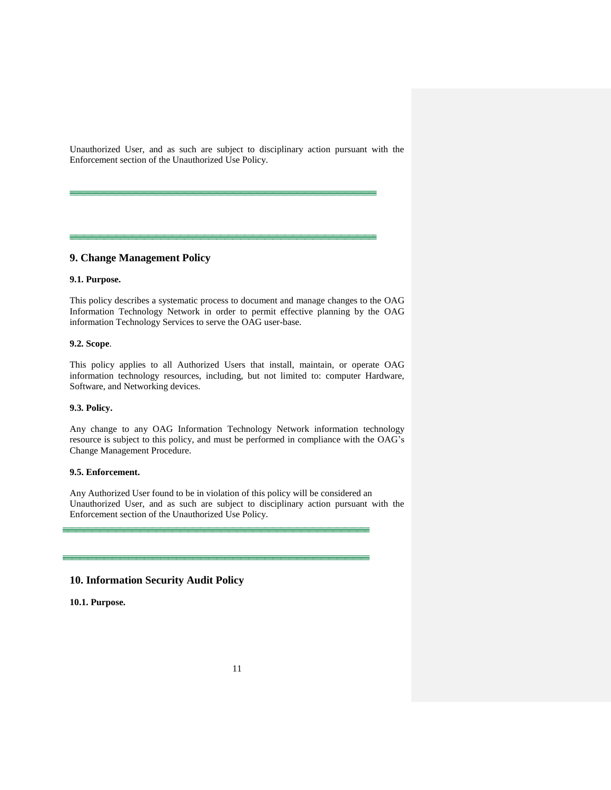Unauthorized User, and as such are subject to disciplinary action pursuant with the Enforcement section of the Unauthorized Use Policy.

# **9. Change Management Policy**

# **9.1. Purpose.**

This policy describes a systematic process to document and manage changes to the OAG Information Technology Network in order to permit effective planning by the OAG information Technology Services to serve the OAG user-base.

# **9.2. Scope**.

This policy applies to all Authorized Users that install, maintain, or operate OAG information technology resources, including, but not limited to: computer Hardware, Software, and Networking devices.

#### **9.3. Policy.**

Any change to any OAG Information Technology Network information technology resource is subject to this policy, and must be performed in compliance with the OAG's Change Management Procedure.

# **9.5. Enforcement.**

Any Authorized User found to be in violation of this policy will be considered an Unauthorized User, and as such are subject to disciplinary action pursuant with the Enforcement section of the Unauthorized Use Policy.

# **10. Information Security Audit Policy**

**10.1. Purpose.**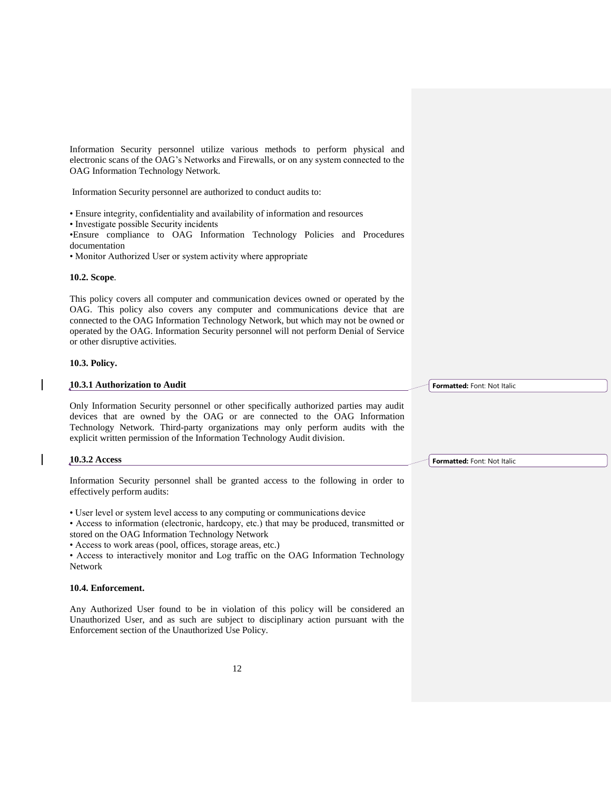Information Security personnel utilize various methods to perform physical and electronic scans of the OAG's Networks and Firewalls, or on any system connected to the OAG Information Technology Network.

Information Security personnel are authorized to conduct audits to:

• Ensure integrity, confidentiality and availability of information and resources

• Investigate possible Security incidents

•Ensure compliance to OAG Information Technology Policies and Procedures documentation

• Monitor Authorized User or system activity where appropriate

# **10.2. Scope**.

This policy covers all computer and communication devices owned or operated by the OAG. This policy also covers any computer and communications device that are connected to the OAG Information Technology Network, but which may not be owned or operated by the OAG. Information Security personnel will not perform Denial of Service or other disruptive activities.

# **10.3. Policy.**

## **10.3.1 Authorization to Audit**

Only Information Security personnel or other specifically authorized parties may audit devices that are owned by the OAG or are connected to the OAG Information Technology Network. Third-party organizations may only perform audits with the explicit written permission of the Information Technology Audit division.

#### **10.3.2 Access**

Information Security personnel shall be granted access to the following in order to effectively perform audits:

• User level or system level access to any computing or communications device

• Access to information (electronic, hardcopy, etc.) that may be produced, transmitted or stored on the OAG Information Technology Network

• Access to work areas (pool, offices, storage areas, etc.)

• Access to interactively monitor and Log traffic on the OAG Information Technology Network

# **10.4. Enforcement.**

Any Authorized User found to be in violation of this policy will be considered an Unauthorized User, and as such are subject to disciplinary action pursuant with the Enforcement section of the Unauthorized Use Policy.

**Formatted:** Font: Not Italic

**Formatted:** Font: Not Italic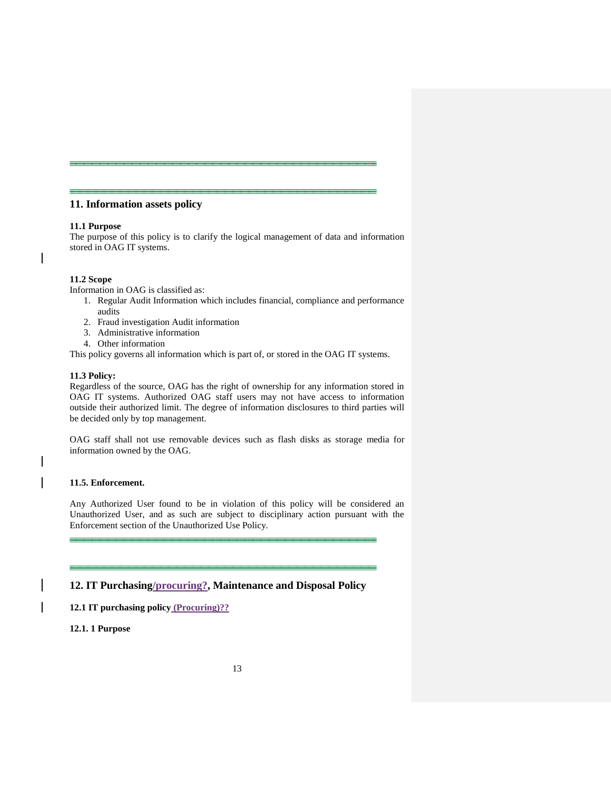# **11. Information assets policy**

## **11.1 Purpose**

The purpose of this policy is to clarify the logical management of data and information stored in OAG IT systems.

# **11.2 Scope**

Information in OAG is classified as:

- 1. Regular Audit Information which includes financial, compliance and performance audits
- 2. Fraud investigation Audit information
- 3. Administrative information
- 4. Other information

This policy governs all information which is part of, or stored in the OAG IT systems.

#### **11.3 Policy:**

Regardless of the source, OAG has the right of ownership for any information stored in OAG IT systems. Authorized OAG staff users may not have access to information outside their authorized limit. The degree of information disclosures to third parties will be decided only by top management.

OAG staff shall not use removable devices such as flash disks as storage media for information owned by the OAG.

# **11.5. Enforcement.**

 $\mathsf{l}$ 

Any Authorized User found to be in violation of this policy will be considered an Unauthorized User, and as such are subject to disciplinary action pursuant with the Enforcement section of the Unauthorized Use Policy.

# **12. IT Purchasing/procuring?, Maintenance and Disposal Policy**

**12.1 IT purchasing policy (Procuring)??**

# **12.1. 1 Purpose**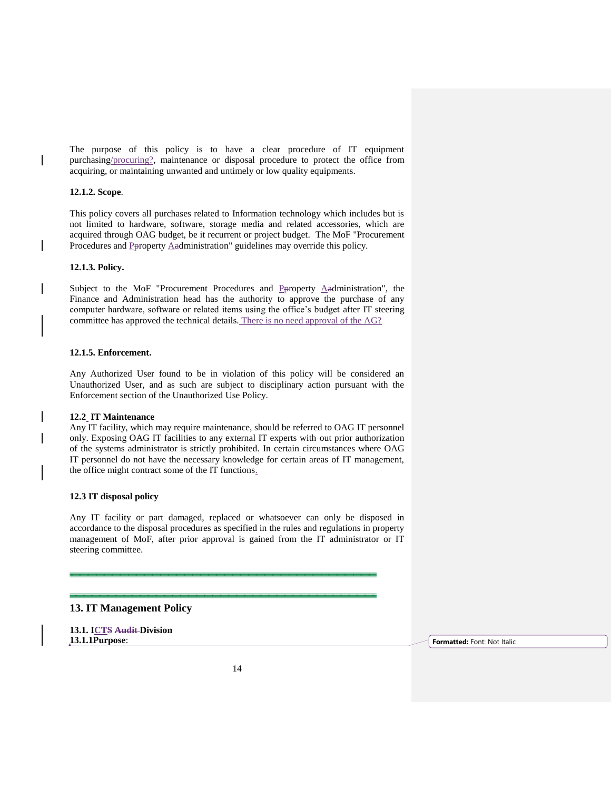The purpose of this policy is to have a clear procedure of IT equipment purchasing/procuring?, maintenance or disposal procedure to protect the office from acquiring, or maintaining unwanted and untimely or low quality equipments.

# **12.1.2. Scope**.

This policy covers all purchases related to Information technology which includes but is not limited to hardware, software, storage media and related accessories, which are acquired through OAG budget, be it recurrent or project budget. The MoF "Procurement Procedures and Poroperty Aadministration" guidelines may override this policy.

# **12.1.3. Policy.**

Subject to the MoF "Procurement Procedures and Peroperty  $\triangle$ administration", the Finance and Administration head has the authority to approve the purchase of any computer hardware, software or related items using the office's budget after IT steering committee has approved the technical details. There is no need approval of the AG?

# **12.1.5. Enforcement.**

Any Authorized User found to be in violation of this policy will be considered an Unauthorized User, and as such are subject to disciplinary action pursuant with the Enforcement section of the Unauthorized Use Policy.

# **12.2 IT Maintenance**

Any IT facility, which may require maintenance, should be referred to OAG IT personnel only. Exposing OAG IT facilities to any external IT experts with out prior authorization of the systems administrator is strictly prohibited. In certain circumstances where OAG IT personnel do not have the necessary knowledge for certain areas of IT management, the office might contract some of the IT functions.

# **12.3 IT disposal policy**

Any IT facility or part damaged, replaced or whatsoever can only be disposed in accordance to the disposal procedures as specified in the rules and regulations in property management of MoF, after prior approval is gained from the IT administrator or IT steering committee.

# **13. IT Management Policy**

**13.1. ICTS Audit Division 13.1.1Purpose**: **Formatted:** Font: Not Italic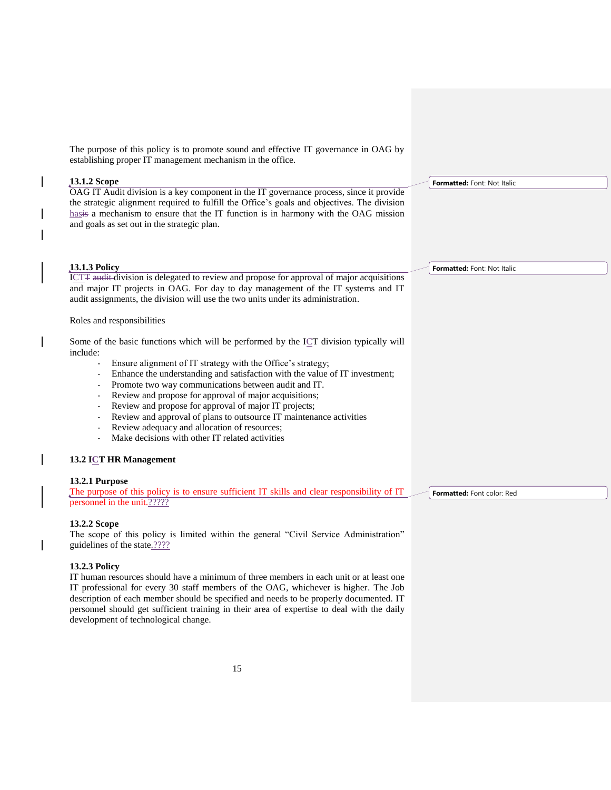The purpose of this policy is to promote sound and effective IT governance in OAG by establishing proper IT management mechanism in the office.

# **13.1.2 Scope**

OAG IT Audit division is a key component in the IT governance process, since it provide the strategic alignment required to fulfill the Office's goals and objectives. The division hasis a mechanism to ensure that the IT function is in harmony with the OAG mission and goals as set out in the strategic plan.

# **13.1.3 Policy**

ICTT audit division is delegated to review and propose for approval of major acquisitions and major IT projects in OAG. For day to day management of the IT systems and IT audit assignments, the division will use the two units under its administration.

# Roles and responsibilities

Some of the basic functions which will be performed by the ICT division typically will include:

- Ensure alignment of IT strategy with the Office's strategy;
- Enhance the understanding and satisfaction with the value of IT investment;
- Promote two way communications between audit and IT.
- Review and propose for approval of major acquisitions;
- Review and propose for approval of major IT projects;
- Review and approval of plans to outsource IT maintenance activities
- Review adequacy and allocation of resources;
- Make decisions with other IT related activities

# **13.2 ICT HR Management**

# **13.2.1 Purpose**

The purpose of this policy is to ensure sufficient IT skills and clear responsibility of IT personnel in the unit.?????

# **13.2.2 Scope**

The scope of this policy is limited within the general "Civil Service Administration" guidelines of the state.????

# **13.2.3 Policy**

IT human resources should have a minimum of three members in each unit or at least one IT professional for every 30 staff members of the OAG, whichever is higher. The Job description of each member should be specified and needs to be properly documented. IT personnel should get sufficient training in their area of expertise to deal with the daily development of technological change.

**Formatted:** Font: Not Italic

**Formatted:** Font: Not Italic

**Formatted:** Font color: Red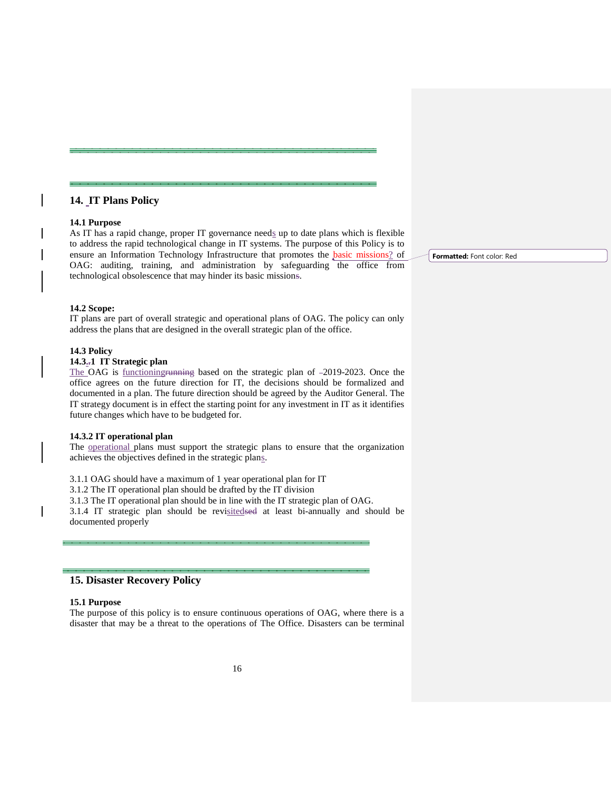# **14. IT Plans Policy**

## **14.1 Purpose**

As IT has a rapid change, proper IT governance needs up to date plans which is flexible to address the rapid technological change in IT systems. The purpose of this Policy is to ensure an Information Technology Infrastructure that promotes the basic missions? of OAG: auditing, training, and administration by safeguarding the office from technological obsolescence that may hinder its basic missions.

# **14.2 Scope:**

IT plans are part of overall strategic and operational plans of OAG. The policy can only address the plans that are designed in the overall strategic plan of the office.

# **14.3 Policy**

# **14.3..1 IT Strategic plan**

The OAG is functioningrunning based on the strategic plan of -2019-2023. Once the office agrees on the future direction for IT, the decisions should be formalized and documented in a plan. The future direction should be agreed by the Auditor General. The IT strategy document is in effect the starting point for any investment in IT as it identifies future changes which have to be budgeted for.

#### **14.3.2 IT operational plan**

The operational plans must support the strategic plans to ensure that the organization achieves the objectives defined in the strategic plans.

3.1.1 OAG should have a maximum of 1 year operational plan for IT

3.1.2 The IT operational plan should be drafted by the IT division

3.1.3 The IT operational plan should be in line with the IT strategic plan of OAG.

3.1.4 IT strategic plan should be revisitedsed at least bi-annually and should be documented properly

# **15. Disaster Recovery Policy**

# **15.1 Purpose**

The purpose of this policy is to ensure continuous operations of OAG, where there is a disaster that may be a threat to the operations of The Office. Disasters can be terminal **Formatted:** Font color: Red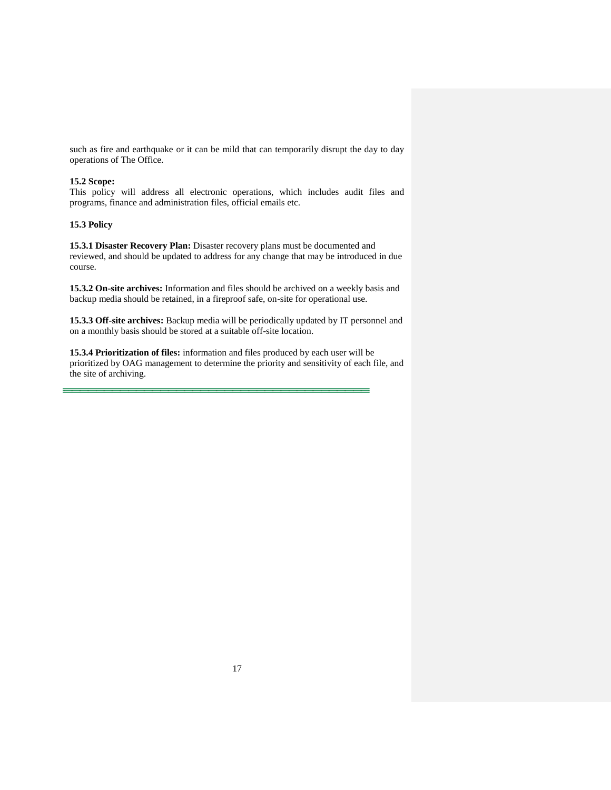such as fire and earthquake or it can be mild that can temporarily disrupt the day to day operations of The Office.

# **15.2 Scope:**

This policy will address all electronic operations, which includes audit files and programs, finance and administration files, official emails etc.

# **15.3 Policy**

**15.3.1 Disaster Recovery Plan:** Disaster recovery plans must be documented and reviewed, and should be updated to address for any change that may be introduced in due course.

**15.3.2 On-site archives:** Information and files should be archived on a weekly basis and backup media should be retained, in a fireproof safe, on-site for operational use.

**15.3.3 Off-site archives:** Backup media will be periodically updated by IT personnel and on a monthly basis should be stored at a suitable off-site location.

**15.3.4 Prioritization of files:** information and files produced by each user will be prioritized by OAG management to determine the priority and sensitivity of each file, and the site of archiving.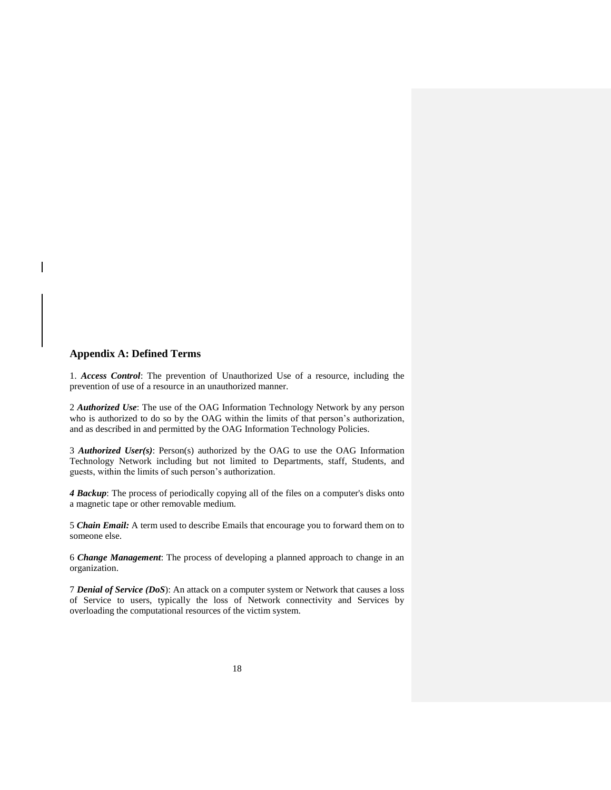# **Appendix A: Defined Terms**

1. *Access Control*: The prevention of Unauthorized Use of a resource, including the prevention of use of a resource in an unauthorized manner.

2 *Authorized Use*: The use of the OAG Information Technology Network by any person who is authorized to do so by the OAG within the limits of that person's authorization, and as described in and permitted by the OAG Information Technology Policies.

3 *Authorized User(s)*: Person(s) authorized by the OAG to use the OAG Information Technology Network including but not limited to Departments, staff, Students, and guests, within the limits of such person's authorization.

*4 Backup*: The process of periodically copying all of the files on a computer's disks onto a magnetic tape or other removable medium.

5 *Chain Email:* A term used to describe Emails that encourage you to forward them on to someone else.

6 *Change Management*: The process of developing a planned approach to change in an organization.

7 *Denial of Service (DoS*): An attack on a computer system or Network that causes a loss of Service to users, typically the loss of Network connectivity and Services by overloading the computational resources of the victim system.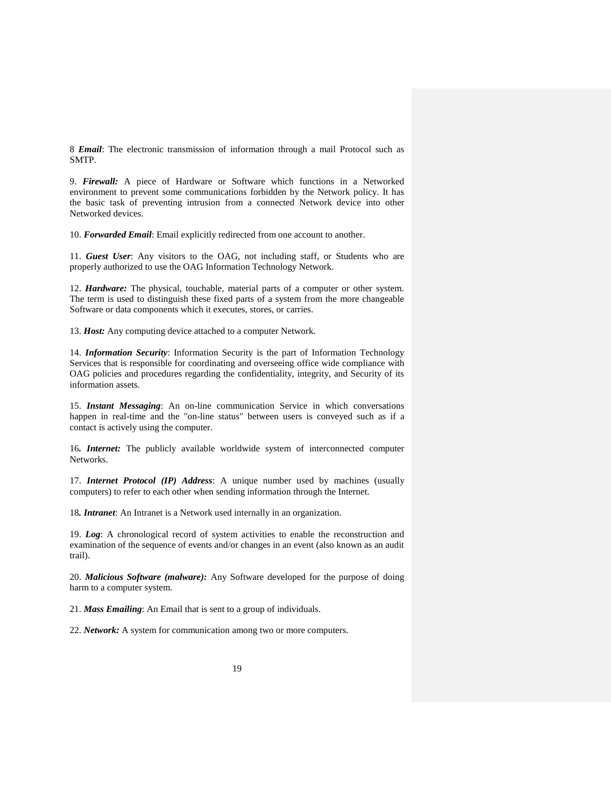8 *Email*: The electronic transmission of information through a mail Protocol such as SMTP.

9. *Firewall:* A piece of Hardware or Software which functions in a Networked environment to prevent some communications forbidden by the Network policy. It has the basic task of preventing intrusion from a connected Network device into other Networked devices.

10. *Forwarded Email*: Email explicitly redirected from one account to another.

11. *Guest User*: Any visitors to the OAG, not including staff, or Students who are properly authorized to use the OAG Information Technology Network.

12. *Hardware:* The physical, touchable, material parts of a computer or other system. The term is used to distinguish these fixed parts of a system from the more changeable Software or data components which it executes, stores, or carries.

13. *Host:* Any computing device attached to a computer Network.

14. *Information Security*: Information Security is the part of Information Technology Services that is responsible for coordinating and overseeing office wide compliance with OAG policies and procedures regarding the confidentiality, integrity, and Security of its information assets.

15. *Instant Messaging*: An on-line communication Service in which conversations happen in real-time and the "on-line status" between users is conveyed such as if a contact is actively using the computer.

16*. Internet:* The publicly available worldwide system of interconnected computer Networks.

17. *Internet Protocol (IP) Address*: A unique number used by machines (usually computers) to refer to each other when sending information through the Internet.

18*. Intranet*: An Intranet is a Network used internally in an organization.

19. *Log*: A chronological record of system activities to enable the reconstruction and examination of the sequence of events and/or changes in an event (also known as an audit trail).

20. *Malicious Software (malware):* Any Software developed for the purpose of doing harm to a computer system.

21. *Mass Emailing*: An Email that is sent to a group of individuals.

22. *Network:* A system for communication among two or more computers.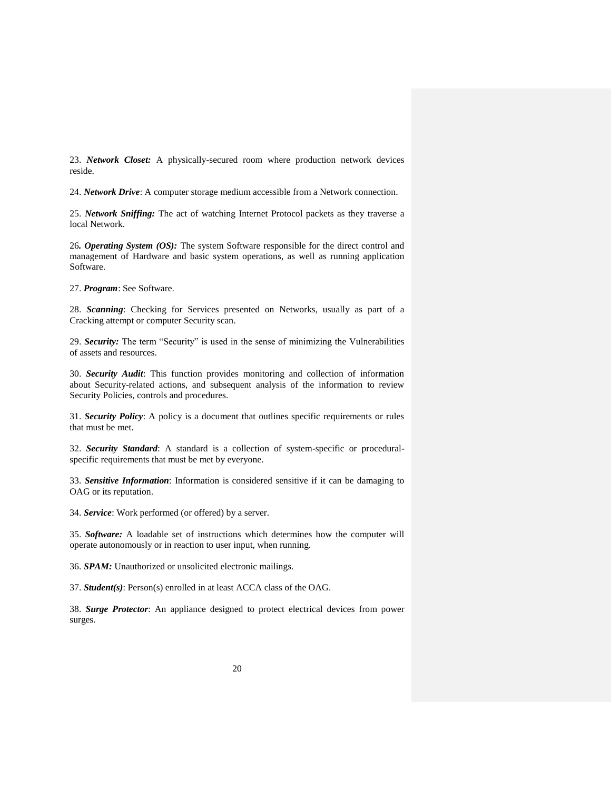23. *Network Closet:* A physically-secured room where production network devices reside.

24. *Network Drive*: A computer storage medium accessible from a Network connection.

25. *Network Sniffing:* The act of watching Internet Protocol packets as they traverse a local Network.

26*. Operating System (OS):* The system Software responsible for the direct control and management of Hardware and basic system operations, as well as running application Software.

27. *Program*: See Software.

28. *Scanning*: Checking for Services presented on Networks, usually as part of a Cracking attempt or computer Security scan.

29. *Security:* The term "Security" is used in the sense of minimizing the Vulnerabilities of assets and resources.

30. *Security Audit*: This function provides monitoring and collection of information about Security-related actions, and subsequent analysis of the information to review Security Policies, controls and procedures.

31. *Security Policy*: A policy is a document that outlines specific requirements or rules that must be met.

32. *Security Standard*: A standard is a collection of system-specific or proceduralspecific requirements that must be met by everyone.

33. *Sensitive Information*: Information is considered sensitive if it can be damaging to OAG or its reputation.

34. *Service*: Work performed (or offered) by a server.

35. *Software:* A loadable set of instructions which determines how the computer will operate autonomously or in reaction to user input, when running.

36. *SPAM:* Unauthorized or unsolicited electronic mailings.

37. *Student(s)*: Person(s) enrolled in at least ACCA class of the OAG.

38. *Surge Protector*: An appliance designed to protect electrical devices from power surges.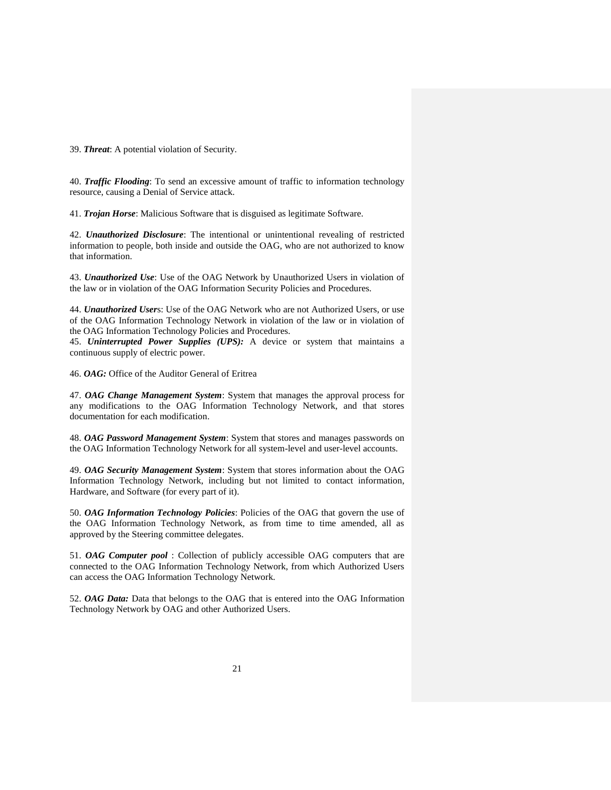39. *Threat*: A potential violation of Security.

40. *Traffic Flooding*: To send an excessive amount of traffic to information technology resource, causing a Denial of Service attack.

41. *Trojan Horse*: Malicious Software that is disguised as legitimate Software.

42. *Unauthorized Disclosure*: The intentional or unintentional revealing of restricted information to people, both inside and outside the OAG, who are not authorized to know that information.

43. *Unauthorized Use*: Use of the OAG Network by Unauthorized Users in violation of the law or in violation of the OAG Information Security Policies and Procedures.

44. *Unauthorized User*s: Use of the OAG Network who are not Authorized Users, or use of the OAG Information Technology Network in violation of the law or in violation of the OAG Information Technology Policies and Procedures.

45. *Uninterrupted Power Supplies (UPS):* A device or system that maintains a continuous supply of electric power.

46. *OAG:* Office of the Auditor General of Eritrea

47. *OAG Change Management System*: System that manages the approval process for any modifications to the OAG Information Technology Network, and that stores documentation for each modification.

48. *OAG Password Management System*: System that stores and manages passwords on the OAG Information Technology Network for all system-level and user-level accounts.

49. *OAG Security Management System*: System that stores information about the OAG Information Technology Network, including but not limited to contact information, Hardware, and Software (for every part of it).

50. *OAG Information Technology Policies*: Policies of the OAG that govern the use of the OAG Information Technology Network, as from time to time amended, all as approved by the Steering committee delegates.

51. *OAG Computer pool* : Collection of publicly accessible OAG computers that are connected to the OAG Information Technology Network, from which Authorized Users can access the OAG Information Technology Network.

52. *OAG Data:* Data that belongs to the OAG that is entered into the OAG Information Technology Network by OAG and other Authorized Users.